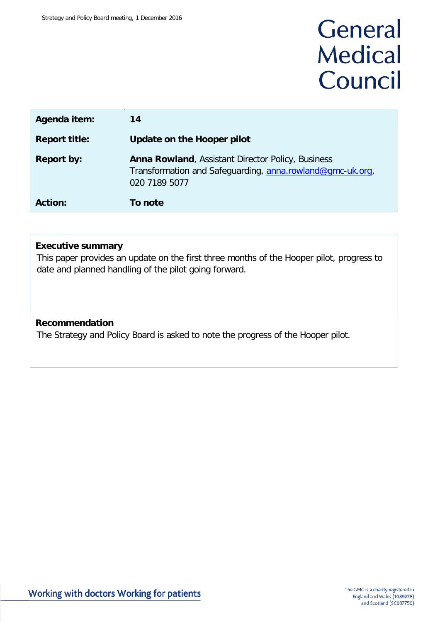## General **Medical** Council

| Agenda item:         | 14                                                                                                                                     |
|----------------------|----------------------------------------------------------------------------------------------------------------------------------------|
| <b>Report title:</b> | Update on the Hooper pilot                                                                                                             |
| <b>Report by:</b>    | <b>Anna Rowland, Assistant Director Policy, Business</b><br>Transformation and Safeguarding, anna.rowland@gmc-uk.org,<br>020 7189 5077 |
| <b>Action:</b>       | To note                                                                                                                                |

## **Executive summary**

This paper provides an update on the first three months of the Hooper pilot, progress to date and planned handling of the pilot going forward.

## **Recommendation**

The Strategy and Policy Board is asked to note the progress of the Hooper pilot.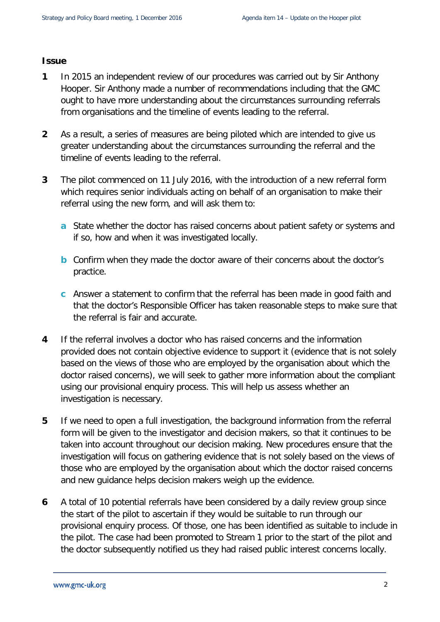## **Issue**

- **1** In 2015 an independent review of our procedures was carried out by Sir Anthony Hooper. Sir Anthony made a number of recommendations including that the GMC ought to have more understanding about the circumstances surrounding referrals from organisations and the timeline of events leading to the referral.
- **2** As a result, a series of measures are being piloted which are intended to give us greater understanding about the circumstances surrounding the referral and the timeline of events leading to the referral.
- **3** The pilot commenced on 11 July 2016, with the introduction of a new referral form which requires senior individuals acting on behalf of an organisation to make their referral using the new form, and will ask them to:
	- **a** State whether the doctor has raised concerns about patient safety or systems and if so, how and when it was investigated locally.
	- **b** Confirm when they made the doctor aware of their concerns about the doctor's practice.
	- **c** Answer a statement to confirm that the referral has been made in good faith and that the doctor's Responsible Officer has taken reasonable steps to make sure that the referral is fair and accurate.
- **4** If the referral involves a doctor who has raised concerns and the information provided does not contain objective evidence to support it (evidence that is not solely based on the views of those who are employed by the organisation about which the doctor raised concerns), we will seek to gather more information about the compliant using our provisional enquiry process. This will help us assess whether an investigation is necessary.
- **5** If we need to open a full investigation, the background information from the referral form will be given to the investigator and decision makers, so that it continues to be taken into account throughout our decision making. New procedures ensure that the investigation will focus on gathering evidence that is not solely based on the views of those who are employed by the organisation about which the doctor raised concerns and new guidance helps decision makers weigh up the evidence.
- **6** A total of 10 potential referrals have been considered by a daily review group since the start of the pilot to ascertain if they would be suitable to run through our provisional enquiry process. Of those, one has been identified as suitable to include in the pilot. The case had been promoted to Stream 1 prior to the start of the pilot and the doctor subsequently notified us they had raised public interest concerns locally.